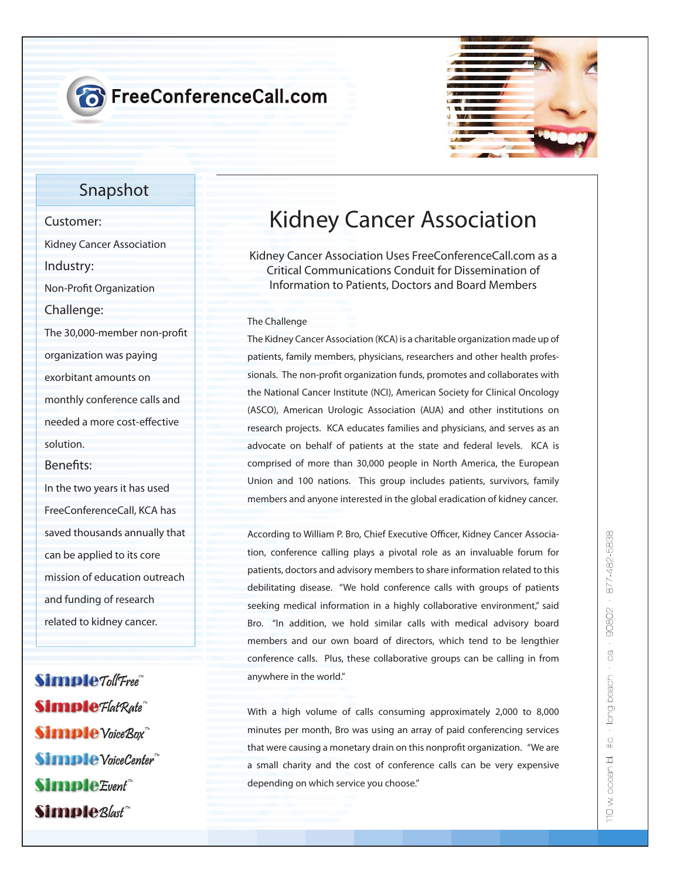# **T** FreeConferenceCall.com



### **Snapshot**

## **Customer: Kidney Cancer Association Industry: Non-Profit Organization Challenge:** The 30,000-member non-profit **organization was paying exorbitant amounts on monthly conference calls and needed a more cost-effective solution. Benets:**

**In the two years it has used FreeConferenceCall, KCA has saved thousands annually that can be applied to its core mission of education outreach and funding of research related to kidney cancer.**

Simple Toll Free" **Simple** Flat Rate **Simple** Voice Box **Simple** VoiceCenter Simple Event<sup>\*\*</sup> Simple<sub>Blast</sub>

# **Kidney Cancer Association**

**Kidney Cancer Association Uses FreeConferenceCall.com as a Critical Communications Conduit for Dissemination of Information to Patients, Doctors and Board Members**

#### The Challenge

The Kidney Cancer Association (KCA) is a charitable organization made up of patients, family members, physicians, researchers and other health professionals. The non-profit organization funds, promotes and collaborates with the National Cancer Institute (NCI), American Society for Clinical Oncology (ASCO), American Urologic Association (AUA) and other institutions on research projects. KCA educates families and physicians, and serves as an advocate on behalf of patients at the state and federal levels. KCA is comprised of more than 30,000 people in North America, the European Union and 100 nations. This group includes patients, survivors, family members and anyone interested in the global eradication of kidney cancer.

According to William P. Bro, Chief Executive Officer, Kidney Cancer Association, conference calling plays a pivotal role as an invaluable forum for patients, doctors and advisory members to share information related to this debilitating disease. "We hold conference calls with groups of patients seeking medical information in a highly collaborative environment," said Bro. "In addition, we hold similar calls with medical advisory board members and our own board of directors, which tend to be lengthier conference calls. Plus, these collaborative groups can be calling in from anywhere in the world."

With a high volume of calls consuming approximately 2,000 to 8,000 minutes per month, Bro was using an array of paid conferencing services that were causing a monetary drain on this nonprofit organization. "We are a small charity and the cost of conference calls can be very expensive depending on which service you choose."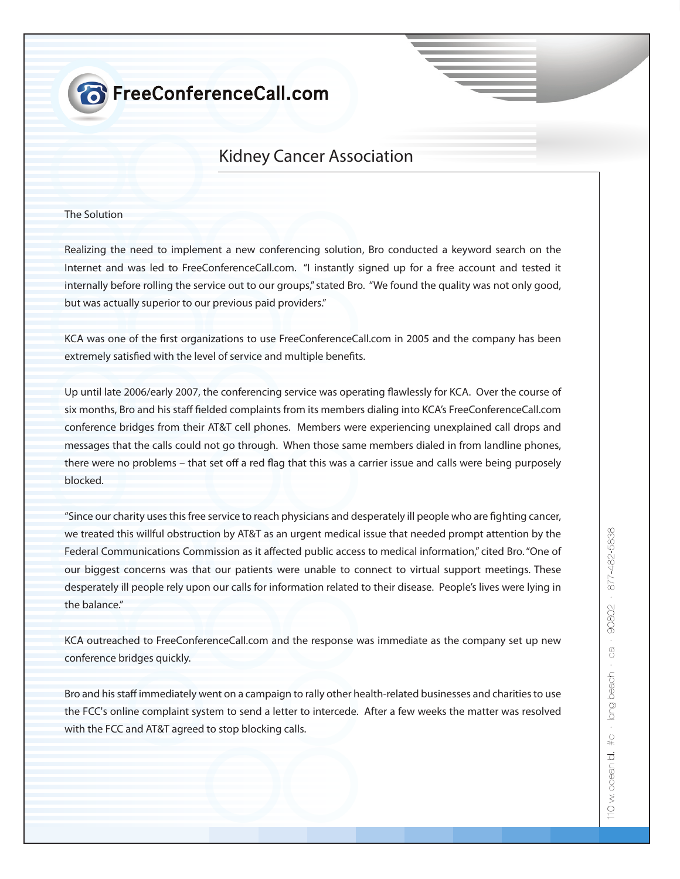# **8** FreeConferenceCall.com

### **Kidney Cancer Association**

### The Solution

Realizing the need to implement a new conferencing solution, Bro conducted a keyword search on the Internet and was led to FreeConferenceCall.com. "I instantly signed up for a free account and tested it internally before rolling the service out to our groups," stated Bro. "We found the quality was not only good, but was actually superior to our previous paid providers."

KCA was one of the first organizations to use FreeConferenceCall.com in 2005 and the company has been extremely satisfied with the level of service and multiple benefits.

Up until late 2006/early 2007, the conferencing service was operating flawlessly for KCA. Over the course of six months, Bro and his staff fielded complaints from its members dialing into KCA's FreeConferenceCall.com conference bridges from their AT&T cell phones. Members were experiencing unexplained call drops and messages that the calls could not go through. When those same members dialed in from landline phones, there were no problems – that set off a red flag that this was a carrier issue and calls were being purposely blocked.

"Since our charity uses this free service to reach physicians and desperately ill people who are fighting cancer, we treated this willful obstruction by AT&T as an urgent medical issue that needed prompt attention by the Federal Communications Commission as it affected public access to medical information," cited Bro. "One of our biggest concerns was that our patients were unable to connect to virtual support meetings. These desperately ill people rely upon our calls for information related to their disease. People's lives were lying in the balance"

KCA outreached to FreeConferenceCall.com and the response was immediate as the company set up new conference bridges quickly.

Bro and his staff immediately went on a campaign to rally other health-related businesses and charities to use the FCC's online complaint system to send a letter to intercede. After a few weeks the matter was resolved with the FCC and AT&T agreed to stop blocking calls.